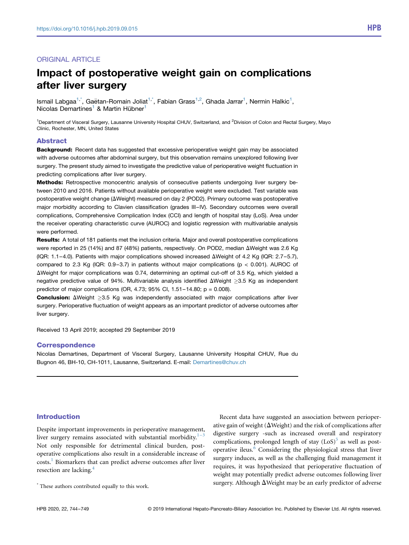# ORIGINAL ARTICLE

# Impact of postoperative weight gain on complications after liver surgery

Ismail Labgaa<sup>[1](#page-0-0),\*</sup>, Gaëtan-Romain Joliat<sup>1,\*</sup>, Fabian Grass<sup>1,2</sup>, Ghada Jarrar<sup>1</sup>, Nermin Halkic<sup>1</sup>, Nicolas Demartines<sup>[1](#page-0-0)</sup> & Martin Hübner<sup>1</sup>

<span id="page-0-0"></span><sup>1</sup>Department of Visceral Surgery, Lausanne University Hospital CHUV, Switzerland, and <sup>2</sup>Division of Colon and Rectal Surgery, Mayo Clinic, Rochester, MN, United States

#### Abstract

Background: Recent data has suggested that excessive perioperative weight gain may be associated with adverse outcomes after abdominal surgery, but this observation remains unexplored following liver surgery. The present study aimed to investigate the predictive value of perioperative weight fluctuation in predicting complications after liver surgery.

Methods: Retrospective monocentric analysis of consecutive patients undergoing liver surgery between 2010 and 2016. Patients without available perioperative weight were excluded. Test variable was postoperative weight change ( $\Delta$ Weight) measured on day 2 (POD2). Primary outcome was postoperative major morbidity according to Clavien classification (grades III–IV). Secondary outcomes were overall complications, Comprehensive Complication Index (CCI) and length of hospital stay (LoS). Area under the receiver operating characteristic curve (AUROC) and logistic regression with multivariable analysis were performed.

Results: A total of 181 patients met the inclusion criteria. Major and overall postoperative complications were reported in 25 (14%) and 87 (48%) patients, respectively. On POD2, median  $\Delta$ Weight was 2.6 Kg (IQR: 1.1–4.0). Patients with major complications showed increased  $\Delta$ Weight of 4.2 Kg (IQR: 2.7–5.7), compared to 2.3 Kg (IQR: 0.9–3.7) in patients without major complications ( $p < 0.001$ ). AUROC of  $\Delta$ Weight for major complications was 0.74, determining an optimal cut-off of 3.5 Kg, which yielded a negative predictive value of 94%. Multivariable analysis identified  $\Delta$ Weight >3.5 Kg as independent predictor of major complications (OR, 4.73;  $95\%$  Cl, 1.51–14.80; p = 0.008).

**Conclusion:**  $\Delta$ Weight >3.5 Kg was independently associated with major complications after liver surgery. Perioperative fluctuation of weight appears as an important predictor of adverse outcomes after liver surgery.

Received 13 April 2019; accepted 29 September 2019

## **Correspondence**

Nicolas Demartines, Department of Visceral Surgery, Lausanne University Hospital CHUV, Rue du Bugnon 46, BH-10, CH-1011, Lausanne, Switzerland. E-mail: [Demartines@chuv.ch](mailto:Demartines@chuv.ch)

## Introduction

Despite important improvements in perioperative management, liver surgery remains associated with substantial morbidity. $1^{-3}$  $1^{-3}$ Not only responsible for detrimental clinical burden, postoperative complications also result in a considerable increase of costs[.1](#page-4-0) Biomarkers that can predict adverse outcomes after liver resection are lacking[.4](#page-4-1)

Recent data have suggested an association between perioperative gain of weight ( $\Delta$ Weight) and the risk of complications after digestive surgery -such as increased overall and respiratory complications, prolonged length of stay  $(LoS)^5$  $(LoS)^5$  as well as postoperative ileus.[6](#page-4-3) Considering the physiological stress that liver surgery induces, as well as the challenging fluid management it requires, it was hypothesized that perioperative fluctuation of weight may potentially predict adverse outcomes following liver  $^\star$  These authors contributed equally to this work.  $\quad$  surgery. Although  $\Delta$ Weight may be an early predictor of adverse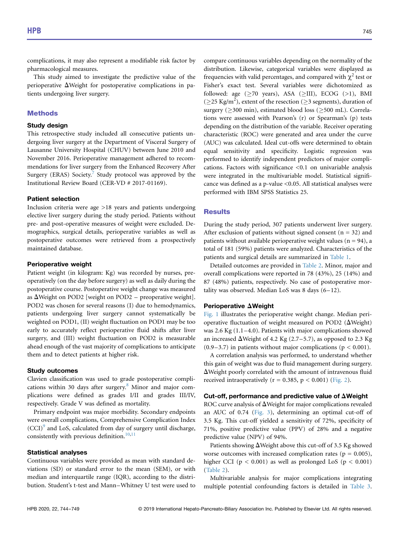complications, it may also represent a modifiable risk factor by pharmacological measures.

This study aimed to investigate the predictive value of the perioperative  $\Delta$ Weight for postoperative complications in patients undergoing liver surgery.

## **Methods**

#### Study design

This retrospective study included all consecutive patients undergoing liver surgery at the Department of Visceral Surgery of Lausanne University Hospital (CHUV) between June 2010 and November 2016. Perioperative management adhered to recommendations for liver surgery from the Enhanced Recovery After Surgery (ERAS) Society.<sup>[7](#page-4-4)</sup> Study protocol was approved by the Institutional Review Board (CER-VD # 2017-01169).

## Patient selection

Inclusion criteria were age >18 years and patients undergoing elective liver surgery during the study period. Patients without pre- and post-operative measures of weight were excluded. Demographics, surgical details, perioperative variables as well as postoperative outcomes were retrieved from a prospectively maintained database.

#### Perioperative weight

Patient weight (in kilogram: Kg) was recorded by nurses, preoperatively (on the day before surgery) as well as daily during the postoperative course. Postoperative weight change was measured as  $\Delta$ Weight on POD2 [weight on POD2 – preoperative weight]. POD2 was chosen for several reasons (I) due to hemodynamics, patients undergoing liver surgery cannot systematically be weighted on POD1, (II) weight fluctuation on POD1 may be too early to accurately reflect perioperative fluid shifts after liver surgery, and (III) weight fluctuation on POD2 is measurable ahead enough of the vast majority of complications to anticipate them and to detect patients at higher risk.

## Study outcomes

Clavien classification was used to grade postoperative complications within 30 days after surgery. $8$  Minor and major complications were defined as grades I/II and grades III/IV, respectively. Grade V was defined as mortality.

Primary endpoint was major morbidity. Secondary endpoints were overall complications, Comprehensive Complication Index  $(CCI)^9$  $(CCI)^9$  and LoS, calculated from day of surgery until discharge, consistently with previous definition.<sup>[10](#page-4-7),[11](#page-4-8)</sup>

### Statistical analyses

Continuous variables were provided as mean with standard deviations (SD) or standard error to the mean (SEM), or with median and interquartile range (IQR), according to the distribution. Student's t-test and Mann–Whitney U test were used to compare continuous variables depending on the normality of the distribution. Likewise, categorical variables were displayed as frequencies with valid percentages, and compared with  $\chi^2$  test or Fisher's exact test. Several variables were dichotomized as followed: age  $($ >70 years), ASA  $($ >III), ECOG  $($ >1), BMI ( $\geq$ 25 Kg/m<sup>2</sup>), extent of the resection ( $\geq$ 3 segments), duration of surgery ( $>$ 300 min), estimated blood loss ( $>$ 500 mL). Correlations were assessed with Pearson's (r) or Spearman's (p) tests depending on the distribution of the variable. Receiver operating characteristic (ROC) were generated and area under the curve (AUC) was calculated. Ideal cut-offs were determined to obtain equal sensitivity and specificity. Logistic regression was performed to identify independent predictors of major complications. Factors with significance <0.1 on univariable analysis were integrated in the multivariable model. Statistical significance was defined as a p-value <0.05. All statistical analyses were performed with IBM SPSS Statistics 25.

## **Results**

During the study period, 307 patients underwent liver surgery. After exclusion of patients without signed consent ( $n = 32$ ) and patients without available perioperative weight values ( $n = 94$ ), a total of 181 (59%) patients were analyzed. Characteristics of the patients and surgical details are summarized in [Table 1.](#page-2-0)

Detailed outcomes are provided in [Table 2](#page-2-1). Minor, major and overall complications were reported in 78 (43%), 25 (14%) and 87 (48%) patients, respectively. No case of postoperative mortality was observed. Median LoS was 8 days (6–12).

#### Perioperative  $\Delta$ Weight

[Fig. 1](#page-2-2) illustrates the perioperative weight change. Median perioperative fluctuation of weight measured on POD2 ( $\Delta$ Weight) was 2.6 Kg (1.1–4.0). Patients with major complications showed an increased  $\Delta$ Weight of 4.2 Kg (2.7–5.7), as opposed to 2.3 Kg  $(0.9-3.7)$  in patients without major complications ( $p < 0.001$ ).

A correlation analysis was performed, to understand whether this gain of weight was due to fluid management during surgery.  $\Delta$ Weight poorly correlated with the amount of intravenous fluid received intraoperatively ( $r = 0.385$ ,  $p < 0.001$ ) ([Fig. 2](#page-3-0)).

#### Cut-off, performance and predictive value of  $\Delta$ Weight

ROC curve analysis of  $\Delta$ Weight for major complications revealed an AUC of 0.74 [\(Fig. 3\)](#page-3-1), determining an optimal cut-off of 3.5 Kg. This cut-off yielded a sensitivity of 72%, specificity of 71%, positive predictive value (PPV) of 28% and a negative predictive value (NPV) of 94%.

Patients showing  $\Delta$ Weight above this cut-off of 3.5 Kg showed worse outcomes with increased complication rates ( $p = 0.005$ ), higher CCI ( $p < 0.001$ ) as well as prolonged LoS ( $p < 0.001$ ) [\(Table 2](#page-2-1)).

Multivariable analysis for major complications integrating multiple potential confounding factors is detailed in [Table 3](#page-4-9).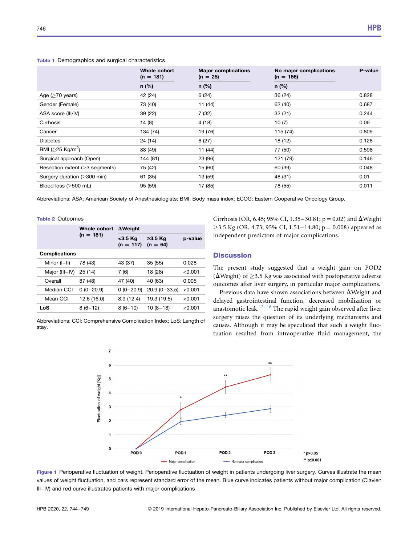|                                     | Whole cohort<br><b>Major complications</b><br>$(n = 181)$<br>$(n = 25)$ |         | No major complications<br>$(n = 156)$ | P-value |
|-------------------------------------|-------------------------------------------------------------------------|---------|---------------------------------------|---------|
|                                     | $n$ (%)                                                                 | $n$ (%) | $n$ (%)                               |         |
| Age ( $\geq$ 70 years)              | 42 (24)                                                                 | 6(24)   | 36 (24)                               | 0.828   |
| Gender (Female)                     | 73 (40)                                                                 | 11(44)  | 62 (40)                               | 0.687   |
| ASA score (III/IV)                  | 39 (22)                                                                 | 7(32)   | 32(21)                                | 0.244   |
| Cirrhosis                           | 14(8)                                                                   | 4(18)   | 10(7)                                 | 0.06    |
| Cancer                              | 134 (74)                                                                | 19 (76) | 115 (74)                              | 0.809   |
| <b>Diabetes</b>                     | 24 (14)                                                                 | 6(27)   | 18 (12)                               | 0.128   |
| BMI ( $\geq$ 25 Kg/m <sup>2</sup> ) | 88 (49)                                                                 | 11 (44) | 77 (50)                               | 0.598   |
| Surgical approach (Open)            | 144 (81)                                                                | 23 (96) | 121 (79)                              | 0.146   |
| Resection extent $($ >3 segments)   | 75 (42)                                                                 | 15 (60) | 60 (39)                               | 0.048   |
| Surgery duration (>300 min)         | 61 (35)                                                                 | 13 (59) | 48 (31)                               | 0.01    |
| Blood loss $(>500$ mL)              | 95 (59)                                                                 | 17 (85) | 78 (55)                               | 0.011   |

<span id="page-2-0"></span>Table 1 Demographics and surgical characteristics

Abbreviations: ASA: American Society of Anesthesiologists; BMI: Body mass index; ECOG: Eastern Cooperative Oncology Group.

#### <span id="page-2-1"></span>Table 2 Outcomes

| $(n = 181)$          | Whole cohort | $\Delta$ Weight           |                             |         |  |
|----------------------|--------------|---------------------------|-----------------------------|---------|--|
|                      |              | $<$ 3.5 Kg<br>$(n = 117)$ | $\geq$ 3.5 Kg<br>$(n = 64)$ | p-value |  |
| <b>Complications</b> |              |                           |                             |         |  |
| Minor (I-II)         | 78 (43)      | 43 (37)                   | 35(55)                      | 0.028   |  |
| Major (III-IV)       | 25(14)       | 7(6)                      | 18 (28)                     | < 0.001 |  |
| Overall              | 87 (48)      | 47 (40)                   | 40 (63)                     | 0.005   |  |
| Median CCI           | $0(0-20.9)$  | $0(0-20.9)$               | $20.9(0 - 33.5)$            | < 0.001 |  |
| Mean CCI             | 12.6 (16.0)  | 8.9(12.4)                 | 19.3 (19.5)                 | < 0.001 |  |
| LoS                  | $8(6-12)$    | $8(6-10)$                 | $10(8-18)$                  | < 0.001 |  |

<span id="page-2-2"></span>Abbreviations: CCI: Comprehensive Complication Index; LoS: Length of stay.



## **Discussion**

The present study suggested that a weight gain on POD2 ( $\Delta$ Weight) of  $>$ 3.5 Kg was associated with postoperative adverse outcomes after liver surgery, in particular major complications.

Previous data have shown associations between  $\Delta$ Weight and delayed gastrointestinal function, decreased mobilization or anastomotic leak.<sup>[12](#page-4-10)–16</sup> The rapid weight gain observed after liver surgery raises the question of its underlying mechanisms and causes. Although it may be speculated that such a weight fluctuation resulted from intraoperative fluid management, the



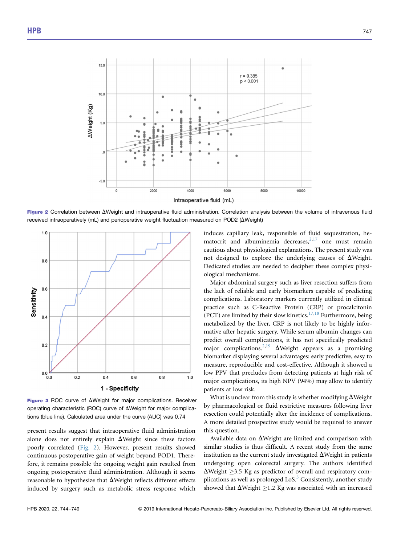<span id="page-3-0"></span>

<span id="page-3-1"></span>Figure 2 Correlation between  $\Delta$ Weight and intraoperative fluid administration. Correlation analysis between the volume of intravenous fluid received intraoperatively (mL) and perioperative weight fluctuation measured on POD2 ( $\Delta$ Weight)



Figure 3 ROC curve of  $\Delta$ Weight for major complications. Receiver operating characteristic (ROC) curve of  $\Delta$ Weight for major complications (blue line). Calculated area under the curve (AUC) was 0.74

present results suggest that intraoperative fluid administration alone does not entirely explain  $\Delta$ Weight since these factors poorly correlated ([Fig. 2\)](#page-3-0). However, present results showed continuous postoperative gain of weight beyond POD1. Therefore, it remains possible the ongoing weight gain resulted from ongoing postoperative fluid administration. Although it seems reasonable to hypothesize that  $\Delta$ Weight reflects different effects induced by surgery such as metabolic stress response which induces capillary leak, responsible of fluid sequestration, hematocrit and albuminemia decreases, $2,17$  $2,17$  one must remain cautious about physiological explanations. The present study was not designed to explore the underlying causes of  $\Delta$ Weight. Dedicated studies are needed to decipher these complex physiological mechanisms.

Major abdominal surgery such as liver resection suffers from the lack of reliable and early biomarkers capable of predicting complications. Laboratory markers currently utilized in clinical practice such as C-Reactive Protein (CRP) or procalcitonin (PCT) are limited by their slow kinetics.<sup>[17](#page-5-0),[18](#page-5-1)</sup> Furthermore, being metabolized by the liver, CRP is not likely to be highly informative after hepatic surgery. While serum albumin changes can predict overall complications, it has not specifically predicted major complications.<sup>[2](#page-4-11)[,19](#page-5-2)</sup>  $\Delta$ Weight appears as a promising biomarker displaying several advantages: early predictive, easy to measure, reproducible and cost-effective. Although it showed a low PPV that precludes from detecting patients at high risk of major complications, its high NPV (94%) may allow to identify patients at low risk.

What is unclear from this study is whether modifying  $\Delta$ Weight by pharmacological or fluid restrictive measures following liver resection could potentially alter the incidence of complications. A more detailed prospective study would be required to answer this question.

Available data on  $\Delta$ Weight are limited and comparison with similar studies is thus difficult. A recent study from the same institution as the current study investigated  $\Delta$ Weight in patients undergoing open colorectal surgery. The authors identified  $\Delta$ Weight  $\geq$ 3.5 Kg as predictor of overall and respiratory complications as well as prolonged LoS. $5$  Consistently, another study showed that  $\Delta$ Weight  $\geq$  1.2 Kg was associated with an increased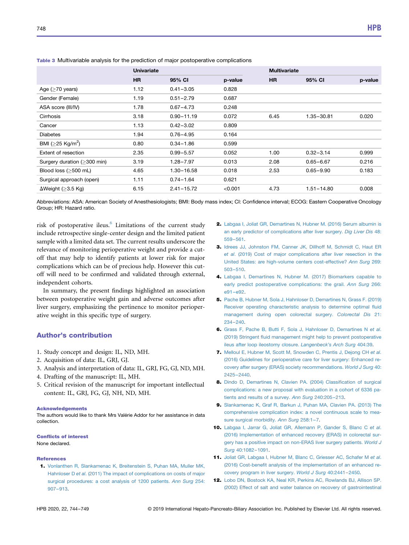|                                  | <b>Univariate</b> |                |         | <b>Multivariate</b> |                |         |  |
|----------------------------------|-------------------|----------------|---------|---------------------|----------------|---------|--|
|                                  | HR.               | 95% CI         | p-value | <b>HR</b>           | 95% CI         | p-value |  |
| Age $($ >70 years)               | 1.12              | $0.41 - 3.05$  | 0.828   |                     |                |         |  |
| Gender (Female)                  | 1.19              | $0.51 - 2.79$  | 0.687   |                     |                |         |  |
| ASA score (III/IV)               | 1.78              | $0.67 - 4.73$  | 0.248   |                     |                |         |  |
| Cirrhosis                        | 3.18              | $0.90 - 11.19$ | 0.072   | 6.45                | $1.35 - 30.81$ | 0.020   |  |
| Cancer                           | 1.13              | $0.42 - 3.02$  | 0.809   |                     |                |         |  |
| <b>Diabetes</b>                  | 1.94              | $0.76 - 4.95$  | 0.164   |                     |                |         |  |
| BMI ( $>$ 25 Kg/m <sup>2</sup> ) | 0.80              | $0.34 - 1.86$  | 0.599   |                     |                |         |  |
| Extent of resection              | 2.35              | $0.99 - 5.57$  | 0.052   | 1.00                | $0.32 - 3.14$  | 0.999   |  |
| Surgery duration $(>300$ min)    | 3.19              | $1.28 - 7.97$  | 0.013   | 2.08                | $0.65 - 6.67$  | 0.216   |  |
| Blood loss $(>500$ mL)           | 4.65              | $1.30 - 16.58$ | 0.018   | 2.53                | $0.65 - 9.90$  | 0.183   |  |
| Surgical approach (open)         | 1.11              | $0.74 - 1.64$  | 0.621   |                     |                |         |  |
| $\Delta$ Weight (>3.5 Kg)        | 6.15              | $2.41 - 15.72$ | < 0.001 | 4.73                | $1.51 - 14.80$ | 0.008   |  |

<span id="page-4-9"></span>Table 3 Multivariable analysis for the prediction of major postoperative complications

Abbreviations: ASA: American Society of Anesthesiologists; BMI: Body mass index; CI: Confidence interval; ECOG: Eastern Cooperative Oncology Group; HR: Hazard ratio.

risk of postoperative ileus.<sup>[6](#page-4-3)</sup> Limitations of the current study include retrospective single-center design and the limited patient sample with a limited data set. The current results underscore the relevance of monitoring perioperative weight and provide a cutoff that may help to identify patients at lower risk for major complications which can be of precious help. However this cutoff will need to be confirmed and validated through external, independent cohorts.

In summary, the present findings highlighted an association between postoperative weight gain and adverse outcomes after liver surgery, emphasizing the pertinence to monitor perioperative weight in this specific type of surgery.

# Author's contribution

- 1. Study concept and design: IL, ND, MH.
- 2. Acquisition of data: IL, GRJ, GJ.
- 3. Analysis and interpretation of data: IL, GRJ, FG, GJ, ND, MH.
- 4. Drafting of the manuscript: IL, MH.
- 5. Critical revision of the manuscript for important intellectual content: IL, GRJ, FG, GJ, NH, ND, MH.

#### Acknowledgements

The authors would like to thank Mrs Valérie Addor for her assistance in data collection.

### Conflicts of interest

None declared.

#### References

<span id="page-4-0"></span>1. [Vonlanthen R, Slankamenac K, Breitenstein S, Puhan MA, Muller MK,](http://refhub.elsevier.com/S1365-182X(19)30727-0/sref1) Hahnloser D et al[. \(2011\) The impact of complications on costs of major](http://refhub.elsevier.com/S1365-182X(19)30727-0/sref1) [surgical procedures: a cost analysis of 1200 patients.](http://refhub.elsevier.com/S1365-182X(19)30727-0/sref1) Ann Surg 254: 907–[913](http://refhub.elsevier.com/S1365-182X(19)30727-0/sref1).

- <span id="page-4-11"></span>2. [Labgaa I, Joliat GR, Demartines N, Hubner M. \(2016\) Serum albumin is](http://refhub.elsevier.com/S1365-182X(19)30727-0/sref2) [an early predictor of complications after liver surgery.](http://refhub.elsevier.com/S1365-182X(19)30727-0/sref2) Dig Liver Dis 48: [559](http://refhub.elsevier.com/S1365-182X(19)30727-0/sref2)–561.
- 3. [Idrees JJ, Johnston FM, Canner JK, Dillhoff M, Schmidt C, Haut ER](http://refhub.elsevier.com/S1365-182X(19)30727-0/sref3) et al[. \(2019\) Cost of major complications after liver resection in the](http://refhub.elsevier.com/S1365-182X(19)30727-0/sref3) [United States: are high-volume centers cost-effective?](http://refhub.elsevier.com/S1365-182X(19)30727-0/sref3) Ann Surg 269: [503](http://refhub.elsevier.com/S1365-182X(19)30727-0/sref3)–510.
- <span id="page-4-1"></span>4. [Labgaa I, Demartines N, Hubner M. \(2017\) Biomarkers capable to](http://refhub.elsevier.com/S1365-182X(19)30727-0/sref4) [early predict postoperative complications: the grail.](http://refhub.elsevier.com/S1365-182X(19)30727-0/sref4) Ann Surg 266: e91–[e92.](http://refhub.elsevier.com/S1365-182X(19)30727-0/sref4)
- <span id="page-4-2"></span>5. [Pache B, Hubner M, Sola J, Hahnloser D, Demartines N, Grass F. \(2019\)](http://refhub.elsevier.com/S1365-182X(19)30727-0/sref5) [Receiver operating characteristic analysis to determine optimal](http://refhub.elsevier.com/S1365-182X(19)30727-0/sref5) fluid [management during open colorectal surgery.](http://refhub.elsevier.com/S1365-182X(19)30727-0/sref5) Colorectal Dis 21: [234](http://refhub.elsevier.com/S1365-182X(19)30727-0/sref5)–240.
- <span id="page-4-3"></span>6. [Grass F, Pache B, Butti F, Sola J, Hahnloser D, Demartines N](http://refhub.elsevier.com/S1365-182X(19)30727-0/sref6) et al. (2019) Stringent fl[uid management might help to prevent postoperative](http://refhub.elsevier.com/S1365-182X(19)30727-0/sref6) [ileus after loop ileostomy closure.](http://refhub.elsevier.com/S1365-182X(19)30727-0/sref6) Langenbeck's Arch Surg 404:39.
- <span id="page-4-4"></span>7. [Melloul E, Hubner M, Scott M, Snowden C, Prentis J, Dejong CH](http://refhub.elsevier.com/S1365-182X(19)30727-0/sref7) et al. [\(2016\) Guidelines for perioperative care for liver surgery: Enhanced re](http://refhub.elsevier.com/S1365-182X(19)30727-0/sref7)[covery after surgery \(ERAS\) society recommendations.](http://refhub.elsevier.com/S1365-182X(19)30727-0/sref7) World J Surg 40: [2425](http://refhub.elsevier.com/S1365-182X(19)30727-0/sref7)–2440.
- <span id="page-4-5"></span>8. [Dindo D, Demartines N, Clavien PA. \(2004\) Classi](http://refhub.elsevier.com/S1365-182X(19)30727-0/sref8)fication of surgical [complications: a new proposal with evaluation in a cohort of 6336 pa](http://refhub.elsevier.com/S1365-182X(19)30727-0/sref8)[tients and results of a survey.](http://refhub.elsevier.com/S1365-182X(19)30727-0/sref8) Ann Surg 240:205–213.
- <span id="page-4-6"></span>9. [Slankamenac K, Graf R, Barkun J, Puhan MA, Clavien PA. \(2013\) The](http://refhub.elsevier.com/S1365-182X(19)30727-0/sref9) [comprehensive complication index: a novel continuous scale to mea](http://refhub.elsevier.com/S1365-182X(19)30727-0/sref9)[sure surgical morbidity.](http://refhub.elsevier.com/S1365-182X(19)30727-0/sref9) Ann Surg 258:1–7.
- <span id="page-4-7"></span>10. [Labgaa I, Jarrar G, Joliat GR, Allemann P, Gander S, Blanc C](http://refhub.elsevier.com/S1365-182X(19)30727-0/sref10) et al. [\(2016\) Implementation of enhanced recovery \(ERAS\) in colorectal sur](http://refhub.elsevier.com/S1365-182X(19)30727-0/sref10)[gery has a positive impact on non-ERAS liver surgery patients.](http://refhub.elsevier.com/S1365-182X(19)30727-0/sref10) World J Surg [40:1082](http://refhub.elsevier.com/S1365-182X(19)30727-0/sref10)–1091.
- <span id="page-4-8"></span>11. [Joliat GR, Labgaa I, Hubner M, Blanc C, Griesser AC, Schafer M](http://refhub.elsevier.com/S1365-182X(19)30727-0/sref11) et al. (2016) Cost-benefi[t analysis of the implementation of an enhanced re](http://refhub.elsevier.com/S1365-182X(19)30727-0/sref11)[covery program in liver surgery.](http://refhub.elsevier.com/S1365-182X(19)30727-0/sref11) World J Surg 40:2441–2450.
- <span id="page-4-10"></span>12. [Lobo DN, Bostock KA, Neal KR, Perkins AC, Rowlands BJ, Allison SP.](http://refhub.elsevier.com/S1365-182X(19)30727-0/sref12) [\(2002\) Effect of salt and water balance on recovery of gastrointestinal](http://refhub.elsevier.com/S1365-182X(19)30727-0/sref12)